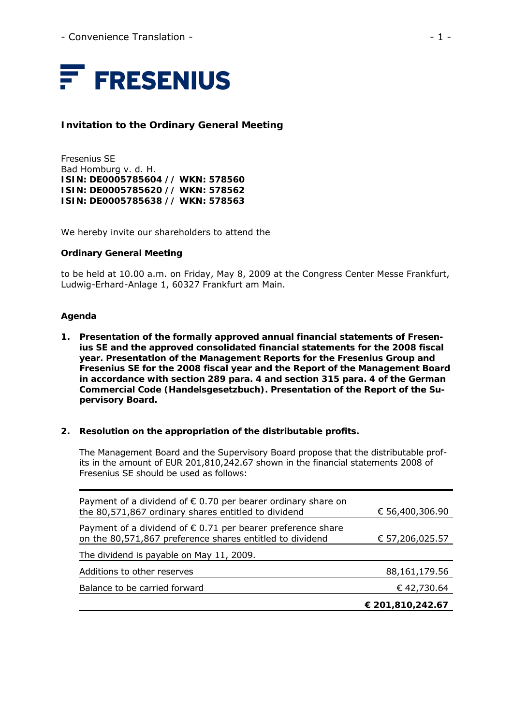

# **Invitation to the Ordinary General Meeting**

Fresenius SE Bad Homburg v. d. H. **ISIN: DE0005785604 // WKN: 578560 ISIN: DE0005785620 // WKN: 578562 ISIN: DE0005785638 // WKN: 578563** 

We hereby invite our shareholders to attend the

#### **Ordinary General Meeting**

to be held at 10.00 a.m. on Friday, May 8, 2009 at the Congress Center Messe Frankfurt, Ludwig-Erhard-Anlage 1, 60327 Frankfurt am Main.

#### **Agenda**

**1. Presentation of the formally approved annual financial statements of Fresenius SE and the approved consolidated financial statements for the 2008 fiscal year. Presentation of the Management Reports for the Fresenius Group and Fresenius SE for the 2008 fiscal year and the Report of the Management Board in accordance with section 289 para. 4 and section 315 para. 4 of the German Commercial Code (Handelsgesetzbuch). Presentation of the Report of the Supervisory Board.** 

#### **2. Resolution on the appropriation of the distributable profits.**

The Management Board and the Supervisory Board propose that the distributable profits in the amount of EUR 201,810,242.67 shown in the financial statements 2008 of Fresenius SE should be used as follows:

| Payment of a dividend of $\epsilon$ 0.70 per bearer ordinary share on<br>the 80,571,867 ordinary shares entitled to dividend     | € 56,400,306.90  |
|----------------------------------------------------------------------------------------------------------------------------------|------------------|
| Payment of a dividend of $\epsilon$ 0.71 per bearer preference share<br>on the 80,571,867 preference shares entitled to dividend | € 57,206,025.57  |
| The dividend is payable on May 11, 2009.                                                                                         |                  |
| Additions to other reserves                                                                                                      | 88, 161, 179. 56 |
| Balance to be carried forward                                                                                                    | € 42,730.64      |
|                                                                                                                                  | € 201,810,242.67 |
|                                                                                                                                  |                  |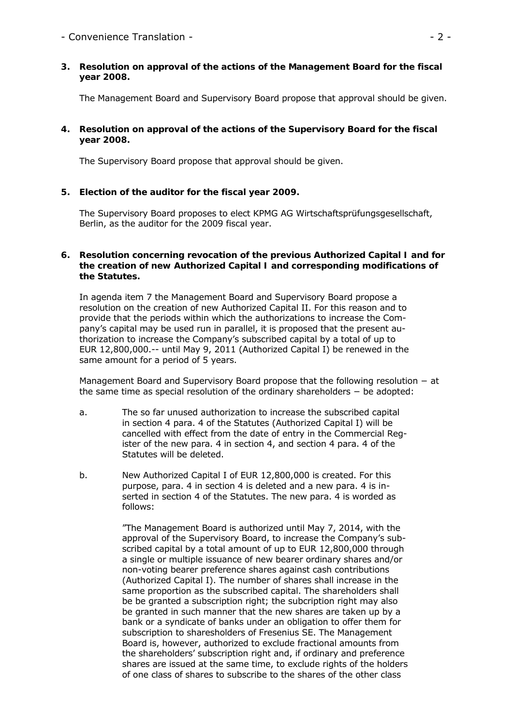# - Convenience Translation -  $\overline{a}$  - 2 -

**3. Resolution on approval of the actions of the Management Board for the fiscal year 2008.** 

The Management Board and Supervisory Board propose that approval should be given.

# **4. Resolution on approval of the actions of the Supervisory Board for the fiscal year 2008.**

The Supervisory Board propose that approval should be given.

# **5. Election of the auditor for the fiscal year 2009.**

The Supervisory Board proposes to elect KPMG AG Wirtschaftsprüfungsgesellschaft, Berlin, as the auditor for the 2009 fiscal year.

#### **6. Resolution concerning revocation of the previous Authorized Capital I and for the creation of new Authorized Capital I and corresponding modifications of the Statutes.**

In agenda item 7 the Management Board and Supervisory Board propose a resolution on the creation of new Authorized Capital II. For this reason and to provide that the periods within which the authorizations to increase the Company's capital may be used run in parallel, it is proposed that the present authorization to increase the Company's subscribed capital by a total of up to EUR 12,800,000.-- until May 9, 2011 (Authorized Capital I) be renewed in the same amount for a period of 5 years.

Management Board and Supervisory Board propose that the following resolution – at the same time as special resolution of the ordinary shareholders − be adopted:

- a. The so far unused authorization to increase the subscribed capital in section 4 para. 4 of the Statutes (Authorized Capital I) will be cancelled with effect from the date of entry in the Commercial Register of the new para. 4 in section 4, and section 4 para. 4 of the Statutes will be deleted.
- b. New Authorized Capital I of EUR 12,800,000 is created. For this purpose, para. 4 in section 4 is deleted and a new para. 4 is inserted in section 4 of the Statutes. The new para. 4 is worded as follows:

"The Management Board is authorized until May 7, 2014, with the approval of the Supervisory Board, to increase the Company's subscribed capital by a total amount of up to EUR 12,800,000 through a single or multiple issuance of new bearer ordinary shares and/or non-voting bearer preference shares against cash contributions (Authorized Capital I). The number of shares shall increase in the same proportion as the subscribed capital. The shareholders shall be be granted a subscription right; the subcription right may also be granted in such manner that the new shares are taken up by a bank or a syndicate of banks under an obligation to offer them for subscription to sharesholders of Fresenius SE. The Management Board is, however, authorized to exclude fractional amounts from the shareholders' subscription right and, if ordinary and preference shares are issued at the same time, to exclude rights of the holders of one class of shares to subscribe to the shares of the other class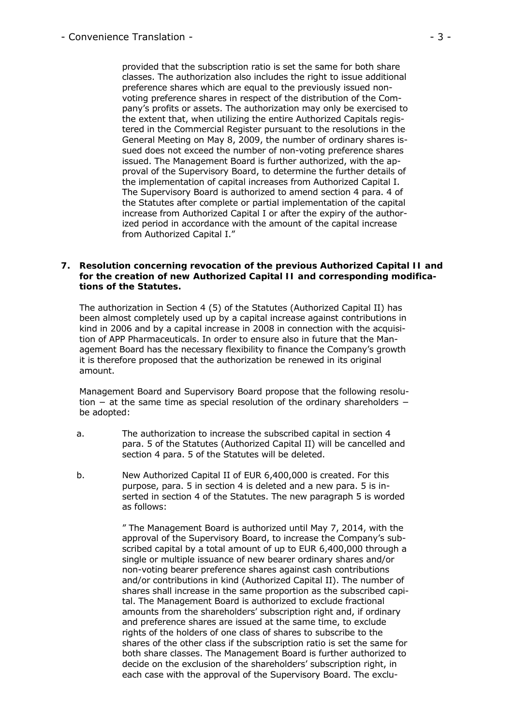provided that the subscription ratio is set the same for both share classes. The authorization also includes the right to issue additional preference shares which are equal to the previously issued nonvoting preference shares in respect of the distribution of the Company's profits or assets. The authorization may only be exercised to the extent that, when utilizing the entire Authorized Capitals registered in the Commercial Register pursuant to the resolutions in the General Meeting on May 8, 2009, the number of ordinary shares issued does not exceed the number of non-voting preference shares issued. The Management Board is further authorized, with the approval of the Supervisory Board, to determine the further details of the implementation of capital increases from Authorized Capital I. The Supervisory Board is authorized to amend section 4 para. 4 of the Statutes after complete or partial implementation of the capital increase from Authorized Capital I or after the expiry of the authorized period in accordance with the amount of the capital increase from Authorized Capital I."

#### **7. Resolution concerning revocation of the previous Authorized Capital II and for the creation of new Authorized Capital II and corresponding modifications of the Statutes.**

The authorization in Section 4 (5) of the Statutes (Authorized Capital II) has been almost completely used up by a capital increase against contributions in kind in 2006 and by a capital increase in 2008 in connection with the acquisition of APP Pharmaceuticals. In order to ensure also in future that the Management Board has the necessary flexibility to finance the Company's growth it is therefore proposed that the authorization be renewed in its original amount.

Management Board and Supervisory Board propose that the following resolution − at the same time as special resolution of the ordinary shareholders − be adopted:

- a. The authorization to increase the subscribed capital in section 4 para. 5 of the Statutes (Authorized Capital II) will be cancelled and section 4 para. 5 of the Statutes will be deleted.
- b. New Authorized Capital II of EUR 6,400,000 is created. For this purpose, para. 5 in section 4 is deleted and a new para. 5 is inserted in section 4 of the Statutes. The new paragraph 5 is worded as follows:

" The Management Board is authorized until May 7, 2014, with the approval of the Supervisory Board, to increase the Company's subscribed capital by a total amount of up to EUR 6,400,000 through a single or multiple issuance of new bearer ordinary shares and/or non-voting bearer preference shares against cash contributions and/or contributions in kind (Authorized Capital II). The number of shares shall increase in the same proportion as the subscribed capital. The Management Board is authorized to exclude fractional amounts from the shareholders' subscription right and, if ordinary and preference shares are issued at the same time, to exclude rights of the holders of one class of shares to subscribe to the shares of the other class if the subscription ratio is set the same for both share classes. The Management Board is further authorized to decide on the exclusion of the shareholders' subscription right, in each case with the approval of the Supervisory Board. The exclu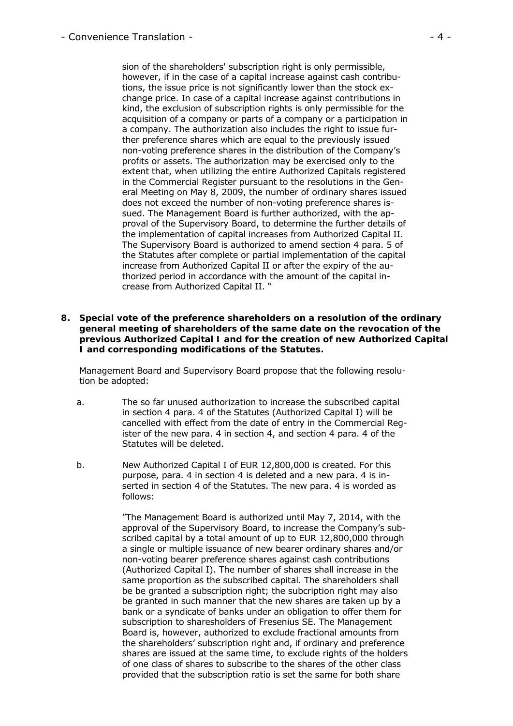sion of the shareholders' subscription right is only permissible, however, if in the case of a capital increase against cash contributions, the issue price is not significantly lower than the stock exchange price. In case of a capital increase against contributions in kind, the exclusion of subscription rights is only permissible for the acquisition of a company or parts of a company or a participation in a company. The authorization also includes the right to issue further preference shares which are equal to the previously issued non-voting preference shares in the distribution of the Company's profits or assets. The authorization may be exercised only to the extent that, when utilizing the entire Authorized Capitals registered in the Commercial Register pursuant to the resolutions in the General Meeting on May 8, 2009, the number of ordinary shares issued does not exceed the number of non-voting preference shares issued. The Management Board is further authorized, with the approval of the Supervisory Board, to determine the further details of the implementation of capital increases from Authorized Capital II. The Supervisory Board is authorized to amend section 4 para. 5 of the Statutes after complete or partial implementation of the capital increase from Authorized Capital II or after the expiry of the authorized period in accordance with the amount of the capital increase from Authorized Capital II. "

**8. Special vote of the preference shareholders on a resolution of the ordinary general meeting of shareholders of the same date on the revocation of the previous Authorized Capital I and for the creation of new Authorized Capital I and corresponding modifications of the Statutes.** 

Management Board and Supervisory Board propose that the following resolution be adopted:

- a. The so far unused authorization to increase the subscribed capital in section 4 para. 4 of the Statutes (Authorized Capital I) will be cancelled with effect from the date of entry in the Commercial Register of the new para. 4 in section 4, and section 4 para. 4 of the Statutes will be deleted.
- b. New Authorized Capital I of EUR 12,800,000 is created. For this purpose, para. 4 in section 4 is deleted and a new para. 4 is inserted in section 4 of the Statutes. The new para. 4 is worded as follows:

"The Management Board is authorized until May 7, 2014, with the approval of the Supervisory Board, to increase the Company's subscribed capital by a total amount of up to EUR 12,800,000 through a single or multiple issuance of new bearer ordinary shares and/or non-voting bearer preference shares against cash contributions (Authorized Capital I). The number of shares shall increase in the same proportion as the subscribed capital. The shareholders shall be be granted a subscription right; the subcription right may also be granted in such manner that the new shares are taken up by a bank or a syndicate of banks under an obligation to offer them for subscription to sharesholders of Fresenius SE. The Management Board is, however, authorized to exclude fractional amounts from the shareholders' subscription right and, if ordinary and preference shares are issued at the same time, to exclude rights of the holders of one class of shares to subscribe to the shares of the other class provided that the subscription ratio is set the same for both share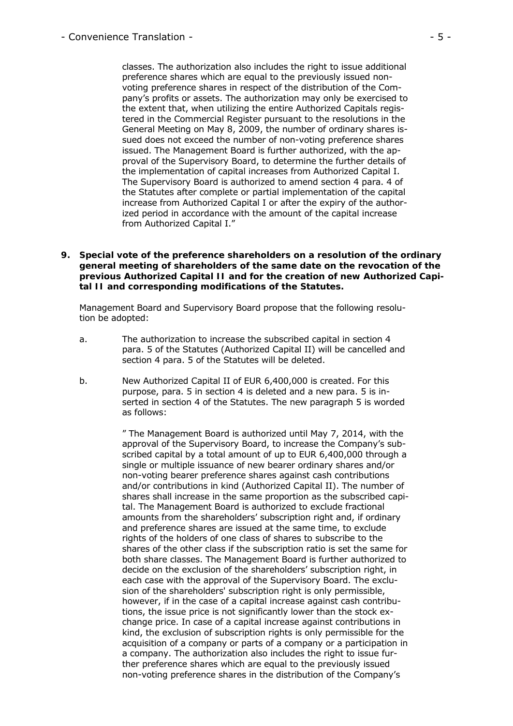classes. The authorization also includes the right to issue additional preference shares which are equal to the previously issued nonvoting preference shares in respect of the distribution of the Company's profits or assets. The authorization may only be exercised to the extent that, when utilizing the entire Authorized Capitals registered in the Commercial Register pursuant to the resolutions in the General Meeting on May 8, 2009, the number of ordinary shares issued does not exceed the number of non-voting preference shares issued. The Management Board is further authorized, with the approval of the Supervisory Board, to determine the further details of the implementation of capital increases from Authorized Capital I. The Supervisory Board is authorized to amend section 4 para. 4 of the Statutes after complete or partial implementation of the capital increase from Authorized Capital I or after the expiry of the authorized period in accordance with the amount of the capital increase from Authorized Capital I."

**9. Special vote of the preference shareholders on a resolution of the ordinary general meeting of shareholders of the same date on the revocation of the previous Authorized Capital II and for the creation of new Authorized Capital II and corresponding modifications of the Statutes.** 

Management Board and Supervisory Board propose that the following resolution be adopted:

- a. The authorization to increase the subscribed capital in section 4 para. 5 of the Statutes (Authorized Capital II) will be cancelled and section 4 para. 5 of the Statutes will be deleted.
- b. New Authorized Capital II of EUR 6,400,000 is created. For this purpose, para. 5 in section 4 is deleted and a new para. 5 is inserted in section 4 of the Statutes. The new paragraph 5 is worded as follows:

" The Management Board is authorized until May 7, 2014, with the approval of the Supervisory Board, to increase the Company's subscribed capital by a total amount of up to EUR 6,400,000 through a single or multiple issuance of new bearer ordinary shares and/or non-voting bearer preference shares against cash contributions and/or contributions in kind (Authorized Capital II). The number of shares shall increase in the same proportion as the subscribed capital. The Management Board is authorized to exclude fractional amounts from the shareholders' subscription right and, if ordinary and preference shares are issued at the same time, to exclude rights of the holders of one class of shares to subscribe to the shares of the other class if the subscription ratio is set the same for both share classes. The Management Board is further authorized to decide on the exclusion of the shareholders' subscription right, in each case with the approval of the Supervisory Board. The exclusion of the shareholders' subscription right is only permissible, however, if in the case of a capital increase against cash contributions, the issue price is not significantly lower than the stock exchange price. In case of a capital increase against contributions in kind, the exclusion of subscription rights is only permissible for the acquisition of a company or parts of a company or a participation in a company. The authorization also includes the right to issue further preference shares which are equal to the previously issued non-voting preference shares in the distribution of the Company's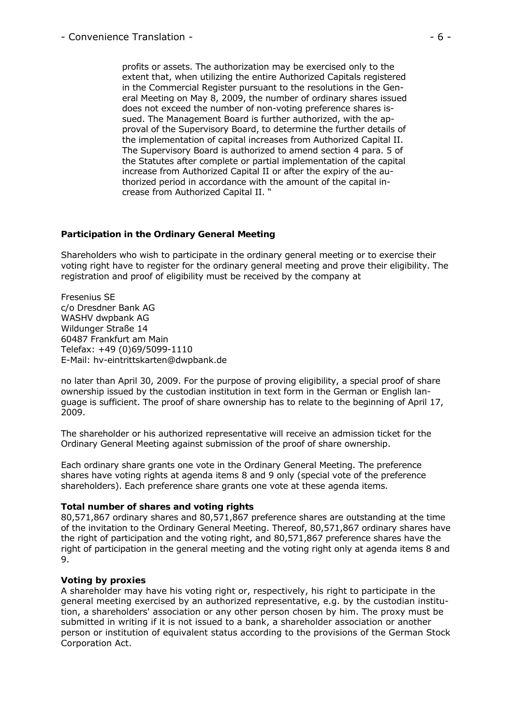profits or assets. The authorization may be exercised only to the extent that, when utilizing the entire Authorized Capitals registered in the Commercial Register pursuant to the resolutions in the General Meeting on May 8, 2009, the number of ordinary shares issued does not exceed the number of non-voting preference shares issued. The Management Board is further authorized, with the approval of the Supervisory Board, to determine the further details of the implementation of capital increases from Authorized Capital II. The Supervisory Board is authorized to amend section 4 para. 5 of the Statutes after complete or partial implementation of the capital increase from Authorized Capital II or after the expiry of the authorized period in accordance with the amount of the capital increase from Authorized Capital II. "

# **Participation in the Ordinary General Meeting**

Shareholders who wish to participate in the ordinary general meeting or to exercise their voting right have to register for the ordinary general meeting and prove their eligibility. The registration and proof of eligibility must be received by the company at

Fresenius SE c/o Dresdner Bank AG WASHV dwpbank AG Wildunger Straße 14 60487 Frankfurt am Main Telefax: +49 (0)69/5099-1110 E-Mail: hv-eintrittskarten@dwpbank.de

no later than April 30, 2009. For the purpose of proving eligibility, a special proof of share ownership issued by the custodian institution in text form in the German or English language is sufficient. The proof of share ownership has to relate to the beginning of April 17, 2009.

The shareholder or his authorized representative will receive an admission ticket for the Ordinary General Meeting against submission of the proof of share ownership.

Each ordinary share grants one vote in the Ordinary General Meeting. The preference shares have voting rights at agenda items 8 and 9 only (special vote of the preference shareholders). Each preference share grants one vote at these agenda items.

#### **Total number of shares and voting rights**

80,571,867 ordinary shares and 80,571,867 preference shares are outstanding at the time of the invitation to the Ordinary General Meeting. Thereof, 80,571,867 ordinary shares have the right of participation and the voting right, and 80,571,867 preference shares have the right of participation in the general meeting and the voting right only at agenda items 8 and 9.

#### **Voting by proxies**

A shareholder may have his voting right or, respectively, his right to participate in the general meeting exercised by an authorized representative, e.g. by the custodian institution, a shareholders' association or any other person chosen by him. The proxy must be submitted in writing if it is not issued to a bank, a shareholder association or another person or institution of equivalent status according to the provisions of the German Stock Corporation Act.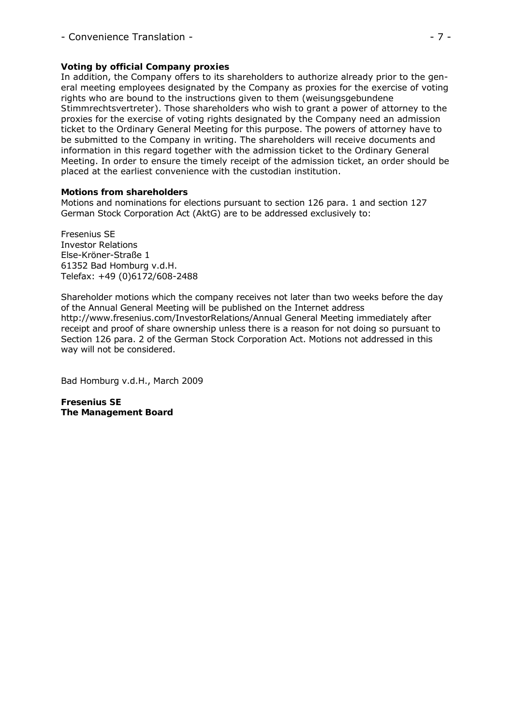# **Voting by official Company proxies**

In addition, the Company offers to its shareholders to authorize already prior to the general meeting employees designated by the Company as proxies for the exercise of voting rights who are bound to the instructions given to them (*weisungsgebundene Stimmrechtsvertreter*). Those shareholders who wish to grant a power of attorney to the proxies for the exercise of voting rights designated by the Company need an admission ticket to the Ordinary General Meeting for this purpose. The powers of attorney have to be submitted to the Company in writing. The shareholders will receive documents and information in this regard together with the admission ticket to the Ordinary General Meeting. In order to ensure the timely receipt of the admission ticket, an order should be placed at the earliest convenience with the custodian institution.

# **Motions from shareholders**

Motions and nominations for elections pursuant to section 126 para. 1 and section 127 German Stock Corporation Act (AktG) are to be addressed exclusively to:

Fresenius SE Investor Relations Else-Kröner-Straße 1 61352 Bad Homburg v.d.H. Telefax: +49 (0)6172/608-2488

Shareholder motions which the company receives not later than two weeks before the day of the Annual General Meeting will be published on the Internet address http://www.fresenius.com/InvestorRelations/Annual General Meeting immediately after receipt and proof of share ownership unless there is a reason for not doing so pursuant to Section 126 para. 2 of the German Stock Corporation Act. Motions not addressed in this way will not be considered.

Bad Homburg v.d.H., March 2009

**Fresenius SE The Management Board**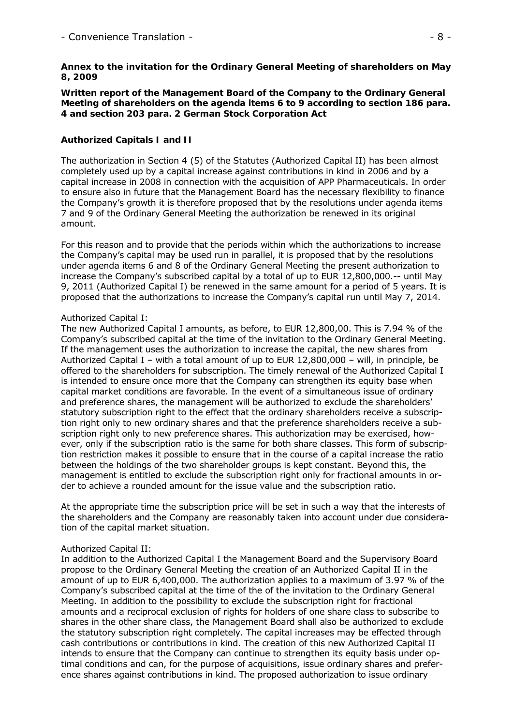### **Annex to the invitation for the Ordinary General Meeting of shareholders on May 8, 2009**

**Written report of the Management Board of the Company to the Ordinary General Meeting of shareholders on the agenda items 6 to 9 according to section 186 para. 4 and section 203 para. 2 German Stock Corporation Act** 

### **Authorized Capitals I and II**

The authorization in Section 4 (5) of the Statutes (Authorized Capital II) has been almost completely used up by a capital increase against contributions in kind in 2006 and by a capital increase in 2008 in connection with the acquisition of APP Pharmaceuticals. In order to ensure also in future that the Management Board has the necessary flexibility to finance the Company's growth it is therefore proposed that by the resolutions under agenda items 7 and 9 of the Ordinary General Meeting the authorization be renewed in its original amount.

For this reason and to provide that the periods within which the authorizations to increase the Company's capital may be used run in parallel, it is proposed that by the resolutions under agenda items 6 and 8 of the Ordinary General Meeting the present authorization to increase the Company's subscribed capital by a total of up to EUR 12,800,000.-- until May 9, 2011 (Authorized Capital I) be renewed in the same amount for a period of 5 years. It is proposed that the authorizations to increase the Company's capital run until May 7, 2014.

# Authorized Capital I:

The new Authorized Capital I amounts, as before, to EUR 12,800,00. This is 7.94 % of the Company's subscribed capital at the time of the invitation to the Ordinary General Meeting. If the management uses the authorization to increase the capital, the new shares from Authorized Capital I – with a total amount of up to EUR 12,800,000 – will, in principle, be offered to the shareholders for subscription. The timely renewal of the Authorized Capital I is intended to ensure once more that the Company can strengthen its equity base when capital market conditions are favorable. In the event of a simultaneous issue of ordinary and preference shares, the management will be authorized to exclude the shareholders' statutory subscription right to the effect that the ordinary shareholders receive a subscription right only to new ordinary shares and that the preference shareholders receive a subscription right only to new preference shares. This authorization may be exercised, however, only if the subscription ratio is the same for both share classes. This form of subscription restriction makes it possible to ensure that in the course of a capital increase the ratio between the holdings of the two shareholder groups is kept constant. Beyond this, the management is entitled to exclude the subscription right only for fractional amounts in order to achieve a rounded amount for the issue value and the subscription ratio.

At the appropriate time the subscription price will be set in such a way that the interests of the shareholders and the Company are reasonably taken into account under due consideration of the capital market situation.

#### Authorized Capital II:

In addition to the Authorized Capital I the Management Board and the Supervisory Board propose to the Ordinary General Meeting the creation of an Authorized Capital II in the amount of up to EUR 6,400,000. The authorization applies to a maximum of 3.97 % of the Company's subscribed capital at the time of the of the invitation to the Ordinary General Meeting. In addition to the possibility to exclude the subscription right for fractional amounts and a reciprocal exclusion of rights for holders of one share class to subscribe to shares in the other share class, the Management Board shall also be authorized to exclude the statutory subscription right completely. The capital increases may be effected through cash contributions or contributions in kind. The creation of this new Authorized Capital II intends to ensure that the Company can continue to strengthen its equity basis under optimal conditions and can, for the purpose of acquisitions, issue ordinary shares and preference shares against contributions in kind. The proposed authorization to issue ordinary